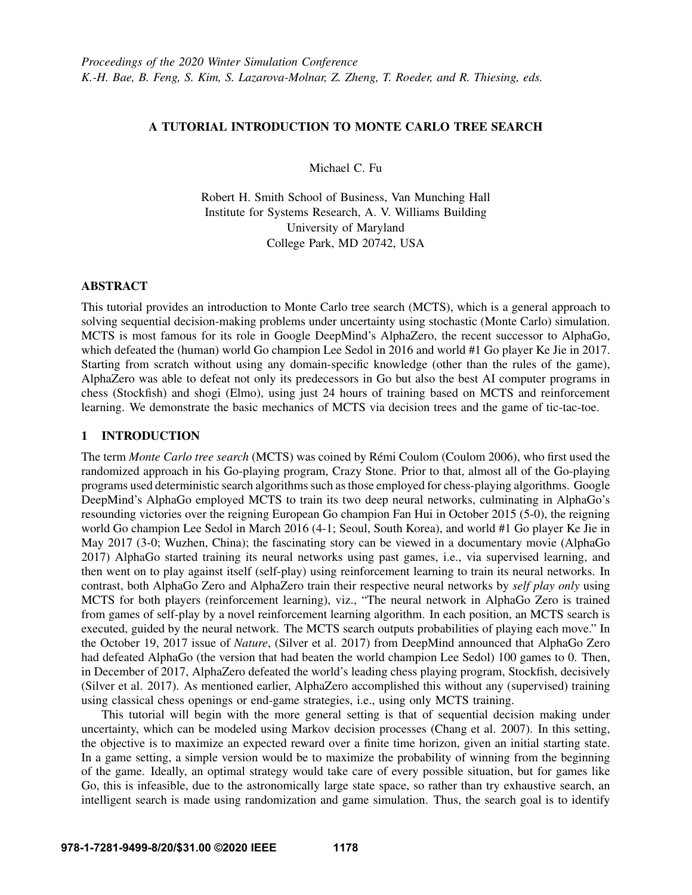# A TUTORIAL INTRODUCTION TO MONTE CARLO TREE SEARCH

Michael C. Fu

Robert H. Smith School of Business, Van Munching Hall Institute for Systems Research, A. V. Williams Building University of Maryland College Park, MD 20742, USA

### ABSTRACT

This tutorial provides an introduction to Monte Carlo tree search (MCTS), which is a general approach to solving sequential decision-making problems under uncertainty using stochastic (Monte Carlo) simulation. MCTS is most famous for its role in Google DeepMind's AlphaZero, the recent successor to AlphaGo, which defeated the (human) world Go champion Lee Sedol in 2016 and world #1 Go player Ke Jie in 2017. Starting from scratch without using any domain-specific knowledge (other than the rules of the game), AlphaZero was able to defeat not only its predecessors in Go but also the best AI computer programs in chess (Stockfish) and shogi (Elmo), using just 24 hours of training based on MCTS and reinforcement learning. We demonstrate the basic mechanics of MCTS via decision trees and the game of tic-tac-toe.

### 1 INTRODUCTION

The term *Monte Carlo tree search* (MCTS) was coined by Rémi Coulom ([Coulom 2006\)](#page-13-0), who first used the randomized approach in his Go-playing program, Crazy Stone. Prior to that, almost all of the Go-playing programs used deterministic search algorithms such as those employed for chess-playing algorithms. Google DeepMind's AlphaGo employed MCTS to train its two deep neural networks, culminating in AlphaGo's resounding victories over the reigning European Go champion Fan Hui in October 2015 (5-0), the reigning world Go champion Lee Sedol in March 2016 (4-1; Seoul, South Korea), and world #1 Go player Ke Jie in May 2017 (3-0; Wuzhen, China); the fascinating story can be viewed in a documentary movie [\(AlphaGo](#page-13-1) [2017\)](#page-13-1) AlphaGo started training its neural networks using past games, i.e., via supervised learning, and then went on to play against itself (self-play) using reinforcement learning to train its neural networks. In contrast, both AlphaGo Zero and AlphaZero train their respective neural networks by *self play only* using MCTS for both players (reinforcement learning), viz., "The neural network in AlphaGo Zero is trained from games of self-play by a novel reinforcement learning algorithm. In each position, an MCTS search is executed, guided by the neural network. The MCTS search outputs probabilities of playing each move." In the October 19, 2017 issue of *Nature*, [\(Silver et al. 2017\)](#page-14-0) from DeepMind announced that AlphaGo Zero had defeated AlphaGo (the version that had beaten the world champion Lee Sedol) 100 games to 0. Then, in December of 2017, AlphaZero defeated the world's leading chess playing program, Stockfish, decisively [\(Silver et al. 2017\)](#page-14-0). As mentioned earlier, AlphaZero accomplished this without any (supervised) training using classical chess openings or end-game strategies, i.e., using only MCTS training.

This tutorial will begin with the more general setting is that of sequential decision making under uncertainty, which can be modeled using Markov decision processes [\(Chang et al. 2007\)](#page-13-2). In this setting, the objective is to maximize an expected reward over a finite time horizon, given an initial starting state. In a game setting, a simple version would be to maximize the probability of winning from the beginning of the game. Ideally, an optimal strategy would take care of every possible situation, but for games like Go, this is infeasible, due to the astronomically large state space, so rather than try exhaustive search, an intelligent search is made using randomization and game simulation. Thus, the search goal is to identify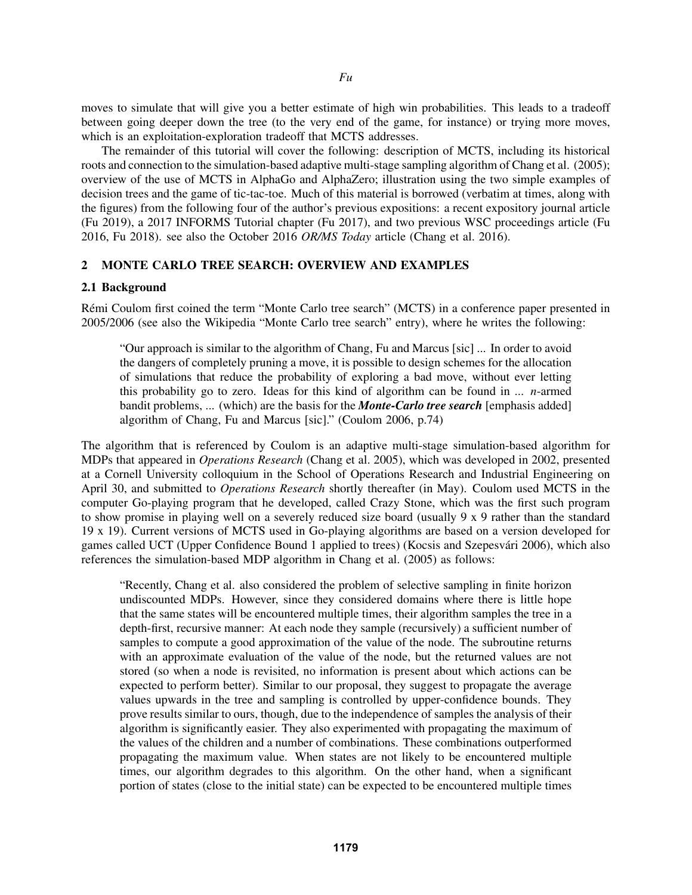moves to simulate that will give you a better estimate of high win probabilities. This leads to a tradeoff between going deeper down the tree (to the very end of the game, for instance) or trying more moves, which is an exploitation-exploration tradeoff that MCTS addresses.

The remainder of this tutorial will cover the following: description of MCTS, including its historical roots and connection to the simulation-based adaptive multi-stage sampling algorithm of [Chang et al. \(2005\);](#page-13-3) overview of the use of MCTS in AlphaGo and AlphaZero; illustration using the two simple examples of decision trees and the game of tic-tac-toe. Much of this material is borrowed (verbatim at times, along with the figures) from the following four of the author's previous expositions: a recent expository journal article [\(Fu 2019\)](#page-14-1), a 2017 INFORMS Tutorial chapter [\(Fu 2017\)](#page-14-2), and two previous WSC proceedings article [\(Fu](#page-14-3) [2016,](#page-14-3) [Fu 2018\)](#page-14-4). see also the October 2016 *OR/MS Today* article (Chang et al. 2016).

# 2 MONTE CARLO TREE SEARCH: OVERVIEW AND EXAMPLES

# 2.1 Background

Remi Coulom first coined the term "Monte Carlo tree search" (MCTS) in a conference paper presented in ´ 2005/2006 (see also the Wikipedia "Monte Carlo tree search" entry), where he writes the following:

"Our approach is similar to the algorithm of Chang, Fu and Marcus [sic] ... In order to avoid the dangers of completely pruning a move, it is possible to design schemes for the allocation of simulations that reduce the probability of exploring a bad move, without ever letting this probability go to zero. Ideas for this kind of algorithm can be found in ... *n*-armed bandit problems, ... (which) are the basis for the *Monte-Carlo tree search* [emphasis added] algorithm of Chang, Fu and Marcus [sic]." [\(Coulom 2006,](#page-13-0) p.74)

The algorithm that is referenced by Coulom is an adaptive multi-stage simulation-based algorithm for MDPs that appeared in *Operations Research* (Chang et al. 2005), which was developed in 2002, presented at a Cornell University colloquium in the School of Operations Research and Industrial Engineering on April 30, and submitted to *Operations Research* shortly thereafter (in May). Coulom used MCTS in the computer Go-playing program that he developed, called Crazy Stone, which was the first such program to show promise in playing well on a severely reduced size board (usually 9 x 9 rather than the standard 19 x 19). Current versions of MCTS used in Go-playing algorithms are based on a version developed for games called UCT (Upper Confidence Bound 1 applied to trees) (Kocsis and Szepesvári 2006), which also references the simulation-based MDP algorithm in Chang et al. (2005) as follows:

"Recently, Chang et al. also considered the problem of selective sampling in finite horizon undiscounted MDPs. However, since they considered domains where there is little hope that the same states will be encountered multiple times, their algorithm samples the tree in a depth-first, recursive manner: At each node they sample (recursively) a sufficient number of samples to compute a good approximation of the value of the node. The subroutine returns with an approximate evaluation of the value of the node, but the returned values are not stored (so when a node is revisited, no information is present about which actions can be expected to perform better). Similar to our proposal, they suggest to propagate the average values upwards in the tree and sampling is controlled by upper-confidence bounds. They prove results similar to ours, though, due to the independence of samples the analysis of their algorithm is significantly easier. They also experimented with propagating the maximum of the values of the children and a number of combinations. These combinations outperformed propagating the maximum value. When states are not likely to be encountered multiple times, our algorithm degrades to this algorithm. On the other hand, when a significant portion of states (close to the initial state) can be expected to be encountered multiple times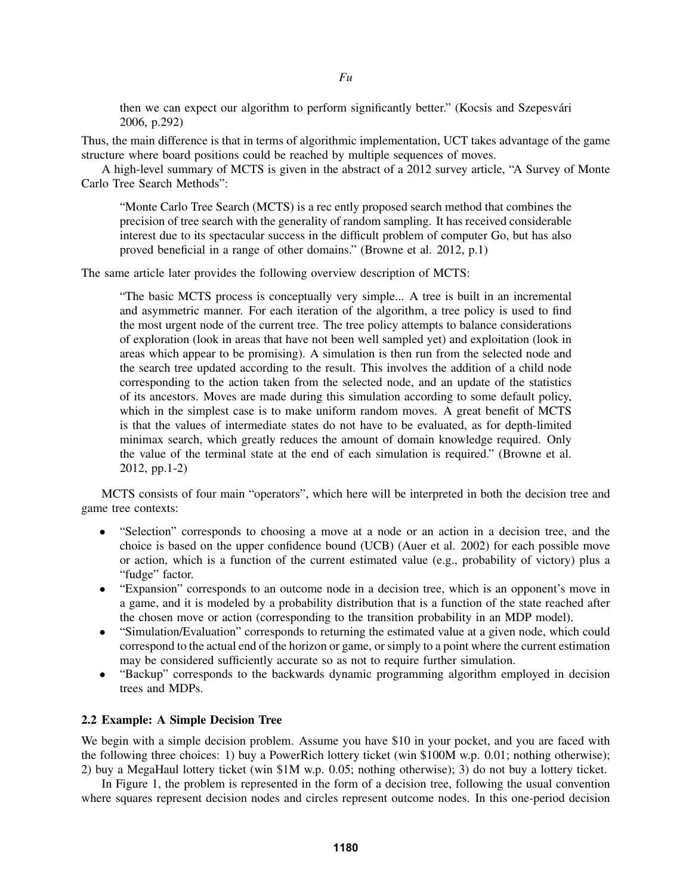then we can expect our algorithm to perform significantly better." [\(Kocsis and Szepesvari](#page-14-5) ´ [2006,](#page-14-5) p.292)

Thus, the main difference is that in terms of algorithmic implementation, UCT takes advantage of the game structure where board positions could be reached by multiple sequences of moves.

A high-level summary of MCTS is given in the abstract of a 2012 survey article, "A Survey of Monte Carlo Tree Search Methods":

"Monte Carlo Tree Search (MCTS) is a rec ently proposed search method that combines the precision of tree search with the generality of random sampling. It has received considerable interest due to its spectacular success in the difficult problem of computer Go, but has also proved beneficial in a range of other domains." [\(Browne et al. 2012,](#page-13-4) p.1)

The same article later provides the following overview description of MCTS:

"The basic MCTS process is conceptually very simple... A tree is built in an incremental and asymmetric manner. For each iteration of the algorithm, a tree policy is used to find the most urgent node of the current tree. The tree policy attempts to balance considerations of exploration (look in areas that have not been well sampled yet) and exploitation (look in areas which appear to be promising). A simulation is then run from the selected node and the search tree updated according to the result. This involves the addition of a child node corresponding to the action taken from the selected node, and an update of the statistics of its ancestors. Moves are made during this simulation according to some default policy, which in the simplest case is to make uniform random moves. A great benefit of MCTS is that the values of intermediate states do not have to be evaluated, as for depth-limited minimax search, which greatly reduces the amount of domain knowledge required. Only the value of the terminal state at the end of each simulation is required." [\(Browne et al.](#page-13-4) [2012,](#page-13-4) pp.1-2)

MCTS consists of four main "operators", which here will be interpreted in both the decision tree and game tree contexts:

- "Selection" corresponds to choosing a move at a node or an action in a decision tree, and the choice is based on the upper confidence bound (UCB) [\(Auer et al. 2002\)](#page-13-5) for each possible move or action, which is a function of the current estimated value (e.g., probability of victory) plus a "fudge" factor.
- "Expansion" corresponds to an outcome node in a decision tree, which is an opponent's move in a game, and it is modeled by a probability distribution that is a function of the state reached after the chosen move or action (corresponding to the transition probability in an MDP model).
- "Simulation/Evaluation" corresponds to returning the estimated value at a given node, which could correspond to the actual end of the horizon or game, or simply to a point where the current estimation may be considered sufficiently accurate so as not to require further simulation.
- "Backup" corresponds to the backwards dynamic programming algorithm employed in decision trees and MDPs.

### 2.2 Example: A Simple Decision Tree

We begin with a simple decision problem. Assume you have \$10 in your pocket, and you are faced with the following three choices: 1) buy a PowerRich lottery ticket (win \$100M w.p. 0.01; nothing otherwise); 2) buy a MegaHaul lottery ticket (win \$1M w.p. 0.05; nothing otherwise); 3) do not buy a lottery ticket.

In Figure [1,](#page-3-0) the problem is represented in the form of a decision tree, following the usual convention where squares represent decision nodes and circles represent outcome nodes. In this one-period decision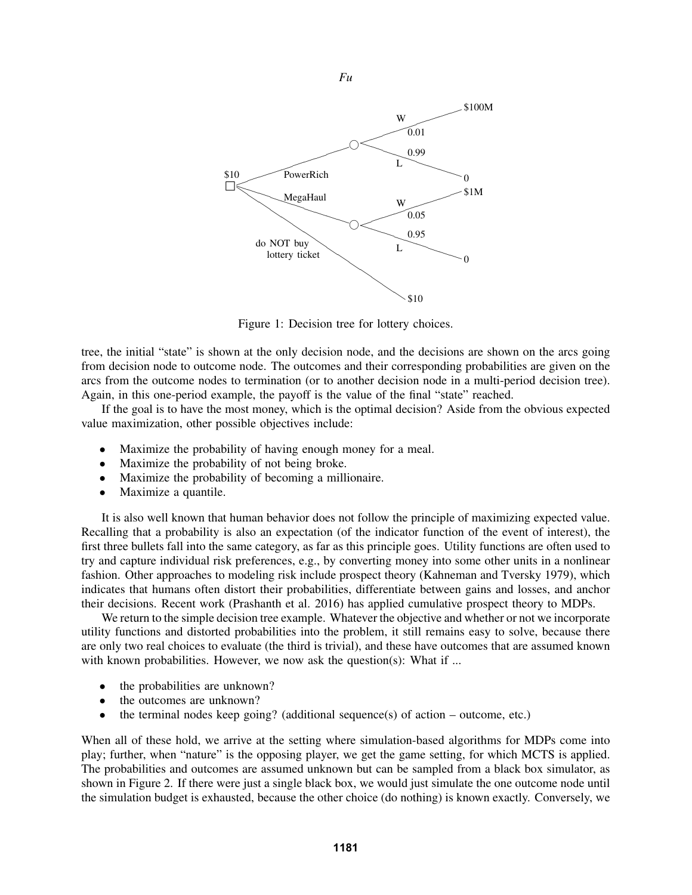

*Fu*

<span id="page-3-0"></span>Figure 1: Decision tree for lottery choices.

tree, the initial "state" is shown at the only decision node, and the decisions are shown on the arcs going from decision node to outcome node. The outcomes and their corresponding probabilities are given on the arcs from the outcome nodes to termination (or to another decision node in a multi-period decision tree). Again, in this one-period example, the payoff is the value of the final "state" reached.

If the goal is to have the most money, which is the optimal decision? Aside from the obvious expected value maximization, other possible objectives include:

- Maximize the probability of having enough money for a meal.
- Maximize the probability of not being broke.
- Maximize the probability of becoming a millionaire.
- Maximize a quantile.

It is also well known that human behavior does not follow the principle of maximizing expected value. Recalling that a probability is also an expectation (of the indicator function of the event of interest), the first three bullets fall into the same category, as far as this principle goes. Utility functions are often used to try and capture individual risk preferences, e.g., by converting money into some other units in a nonlinear fashion. Other approaches to modeling risk include prospect theory [\(Kahneman and Tversky 1979\)](#page-14-6), which indicates that humans often distort their probabilities, differentiate between gains and losses, and anchor their decisions. Recent work [\(Prashanth et al. 2016\)](#page-14-7) has applied cumulative prospect theory to MDPs.

We return to the simple decision tree example. Whatever the objective and whether or not we incorporate utility functions and distorted probabilities into the problem, it still remains easy to solve, because there are only two real choices to evaluate (the third is trivial), and these have outcomes that are assumed known with known probabilities. However, we now ask the question(s): What if ...

- the probabilities are unknown?
- the outcomes are unknown?
- the terminal nodes keep going? (additional sequence(s) of action outcome, etc.)

When all of these hold, we arrive at the setting where simulation-based algorithms for MDPs come into play; further, when "nature" is the opposing player, we get the game setting, for which MCTS is applied. The probabilities and outcomes are assumed unknown but can be sampled from a black box simulator, as shown in Figure [2.](#page-4-0) If there were just a single black box, we would just simulate the one outcome node until the simulation budget is exhausted, because the other choice (do nothing) is known exactly. Conversely, we

**1181**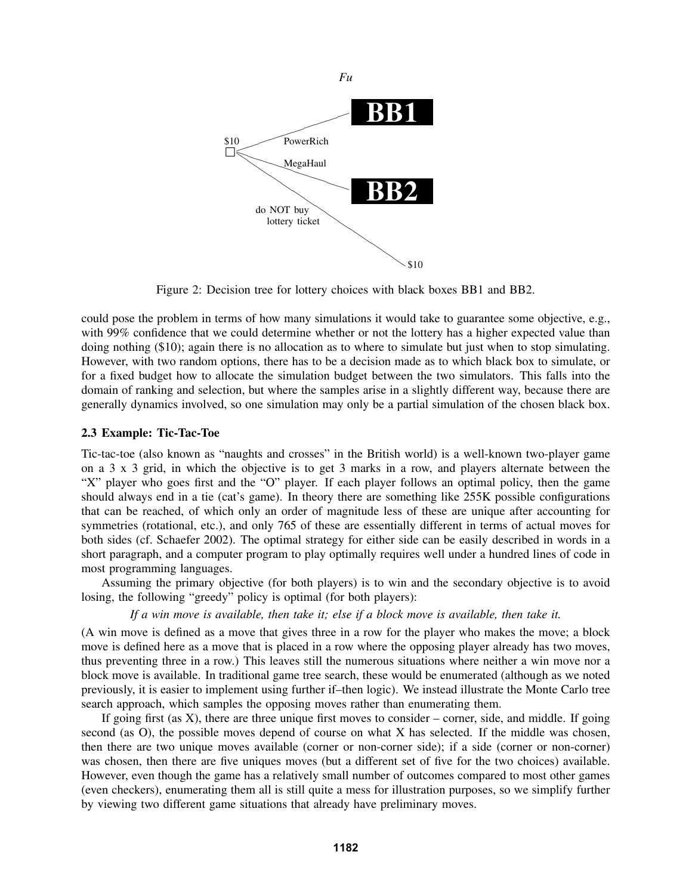

<span id="page-4-0"></span>Figure 2: Decision tree for lottery choices with black boxes BB1 and BB2.

could pose the problem in terms of how many simulations it would take to guarantee some objective, e.g., with 99% confidence that we could determine whether or not the lottery has a higher expected value than doing nothing (\$10); again there is no allocation as to where to simulate but just when to stop simulating. However, with two random options, there has to be a decision made as to which black box to simulate, or for a fixed budget how to allocate the simulation budget between the two simulators. This falls into the domain of ranking and selection, but where the samples arise in a slightly different way, because there are generally dynamics involved, so one simulation may only be a partial simulation of the chosen black box.

# 2.3 Example: Tic-Tac-Toe

Tic-tac-toe (also known as "naughts and crosses" in the British world) is a well-known two-player game on a 3 x 3 grid, in which the objective is to get 3 marks in a row, and players alternate between the "X" player who goes first and the "O" player. If each player follows an optimal policy, then the game should always end in a tie (cat's game). In theory there are something like 255K possible configurations that can be reached, of which only an order of magnitude less of these are unique after accounting for symmetries (rotational, etc.), and only 765 of these are essentially different in terms of actual moves for both sides (cf. [Schaefer 2002\)](#page-14-8). The optimal strategy for either side can be easily described in words in a short paragraph, and a computer program to play optimally requires well under a hundred lines of code in most programming languages.

Assuming the primary objective (for both players) is to win and the secondary objective is to avoid losing, the following "greedy" policy is optimal (for both players):

*If a win move is available, then take it; else if a block move is available, then take it.*

(A win move is defined as a move that gives three in a row for the player who makes the move; a block move is defined here as a move that is placed in a row where the opposing player already has two moves, thus preventing three in a row.) This leaves still the numerous situations where neither a win move nor a block move is available. In traditional game tree search, these would be enumerated (although as we noted previously, it is easier to implement using further if–then logic). We instead illustrate the Monte Carlo tree search approach, which samples the opposing moves rather than enumerating them.

If going first (as X), there are three unique first moves to consider – corner, side, and middle. If going second (as O), the possible moves depend of course on what X has selected. If the middle was chosen, then there are two unique moves available (corner or non-corner side); if a side (corner or non-corner) was chosen, then there are five uniques moves (but a different set of five for the two choices) available. However, even though the game has a relatively small number of outcomes compared to most other games (even checkers), enumerating them all is still quite a mess for illustration purposes, so we simplify further by viewing two different game situations that already have preliminary moves.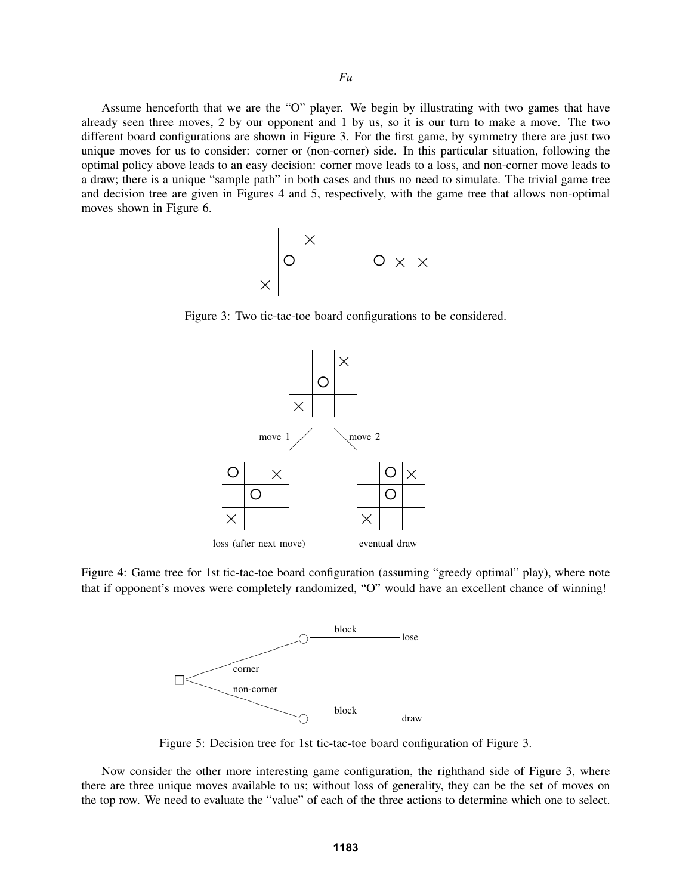Assume henceforth that we are the "O" player. We begin by illustrating with two games that have already seen three moves, 2 by our opponent and 1 by us, so it is our turn to make a move. The two different board configurations are shown in Figure [3.](#page-5-0) For the first game, by symmetry there are just two unique moves for us to consider: corner or (non-corner) side. In this particular situation, following the optimal policy above leads to an easy decision: corner move leads to a loss, and non-corner move leads to a draw; there is a unique "sample path" in both cases and thus no need to simulate. The trivial game tree and decision tree are given in Figures [4](#page-5-1) and [5,](#page-5-2) respectively, with the game tree that allows non-optimal moves shown in Figure [6.](#page-6-0)



Figure 3: Two tic-tac-toe board configurations to be considered.

<span id="page-5-0"></span>

<span id="page-5-1"></span>Figure 4: Game tree for 1st tic-tac-toe board configuration (assuming "greedy optimal" play), where note that if opponent's moves were completely randomized, "O" would have an excellent chance of winning!



<span id="page-5-2"></span>Figure 5: Decision tree for 1st tic-tac-toe board configuration of Figure [3.](#page-5-0)

Now consider the other more interesting game configuration, the righthand side of Figure [3,](#page-5-0) where there are three unique moves available to us; without loss of generality, they can be the set of moves on the top row. We need to evaluate the "value" of each of the three actions to determine which one to select.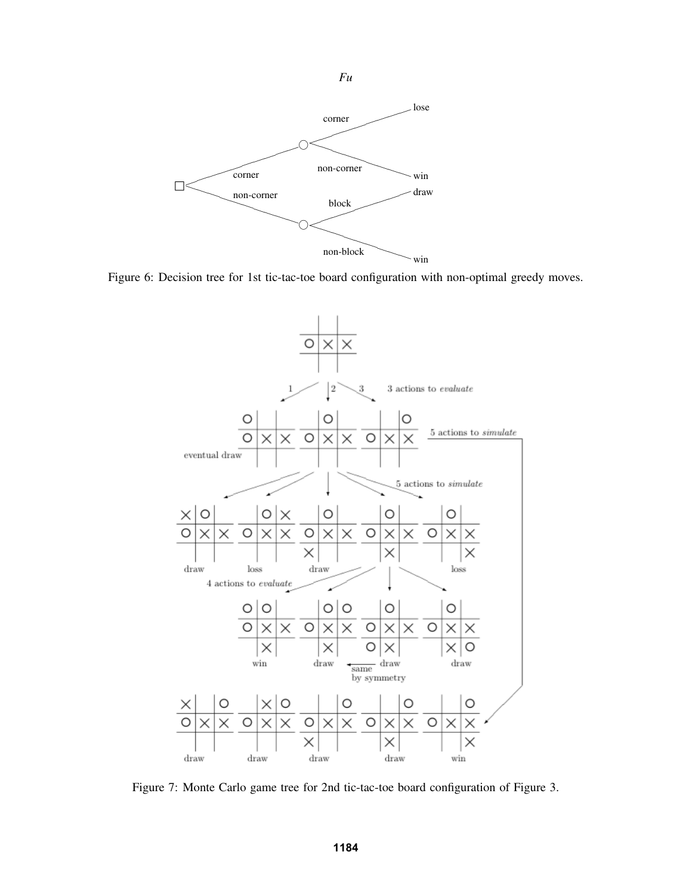

Figure 6: Decision tree for 1st tic-tac-toe board configuration with non-optimal greedy moves.

<span id="page-6-0"></span>

<span id="page-6-1"></span>Figure 7: Monte Carlo game tree for 2nd tic-tac-toe board configuration of Figure [3.](#page-5-0)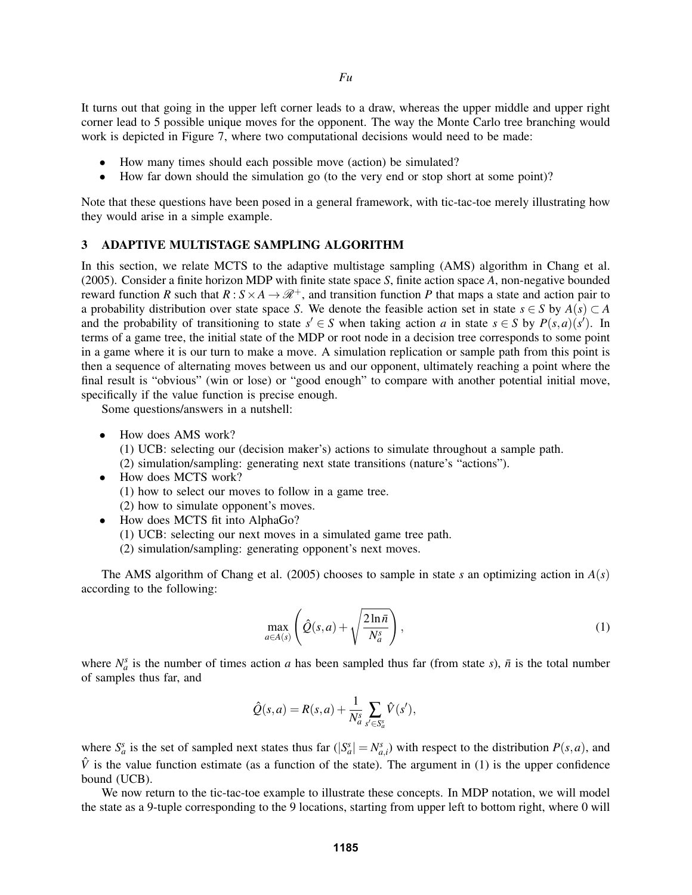It turns out that going in the upper left corner leads to a draw, whereas the upper middle and upper right corner lead to 5 possible unique moves for the opponent. The way the Monte Carlo tree branching would work is depicted in Figure [7,](#page-6-1) where two computational decisions would need to be made:

- How many times should each possible move (action) be simulated?
- How far down should the simulation go (to the very end or stop short at some point)?

Note that these questions have been posed in a general framework, with tic-tac-toe merely illustrating how they would arise in a simple example.

#### 3 ADAPTIVE MULTISTAGE SAMPLING ALGORITHM

In this section, we relate MCTS to the adaptive multistage sampling (AMS) algorithm in Chang et al. (2005). Consider a finite horizon MDP with finite state space *S*, finite action space *A*, non-negative bounded reward function *R* such that  $R : S \times A \rightarrow \mathcal{R}^+$ , and transition function *P* that maps a state and action pair to a probability distribution over state space *S*. We denote the feasible action set in state  $s \in S$  by  $A(s) \subset A$ and the probability of transitioning to state  $s' \in S$  when taking action *a* in state  $s \in S$  by  $P(s, a)(s')$ . In terms of a game tree, the initial state of the MDP or root node in a decision tree corresponds to some point in a game where it is our turn to make a move. A simulation replication or sample path from this point is then a sequence of alternating moves between us and our opponent, ultimately reaching a point where the final result is "obvious" (win or lose) or "good enough" to compare with another potential initial move, specifically if the value function is precise enough.

Some questions/answers in a nutshell:

• How does AMS work?

(1) UCB: selecting our (decision maker's) actions to simulate throughout a sample path.

- (2) simulation/sampling: generating next state transitions (nature's "actions").
- How does MCTS work? (1) how to select our moves to follow in a game tree. (2) how to simulate opponent's moves.
- How does MCTS fit into AlphaGo?
	- (1) UCB: selecting our next moves in a simulated game tree path.
	- (2) simulation/sampling: generating opponent's next moves.

The AMS algorithm of Chang et al. (2005) chooses to sample in state *s* an optimizing action in  $A(s)$ according to the following:

<span id="page-7-0"></span>
$$
\max_{a \in A(s)} \left( \hat{Q}(s, a) + \sqrt{\frac{2 \ln \bar{n}}{N_a^s}} \right),\tag{1}
$$

where  $N_a^s$  is the number of times action *a* has been sampled thus far (from state *s*),  $\bar{n}$  is the total number of samples thus far, and

$$
\hat{Q}(s,a) = R(s,a) + \frac{1}{N_a^s} \sum_{s' \in S_a^s} \hat{V}(s'),
$$

where  $S_a^s$  is the set of sampled next states thus far  $(|S_a^s| = N_{a,i}^s)$  with respect to the distribution  $P(s, a)$ , and  $\hat{V}$  is the value function estimate (as a function of the state). The argument in [\(1\)](#page-7-0) is the upper confidence bound (UCB).

We now return to the tic-tac-toe example to illustrate these concepts. In MDP notation, we will model the state as a 9-tuple corresponding to the 9 locations, starting from upper left to bottom right, where 0 will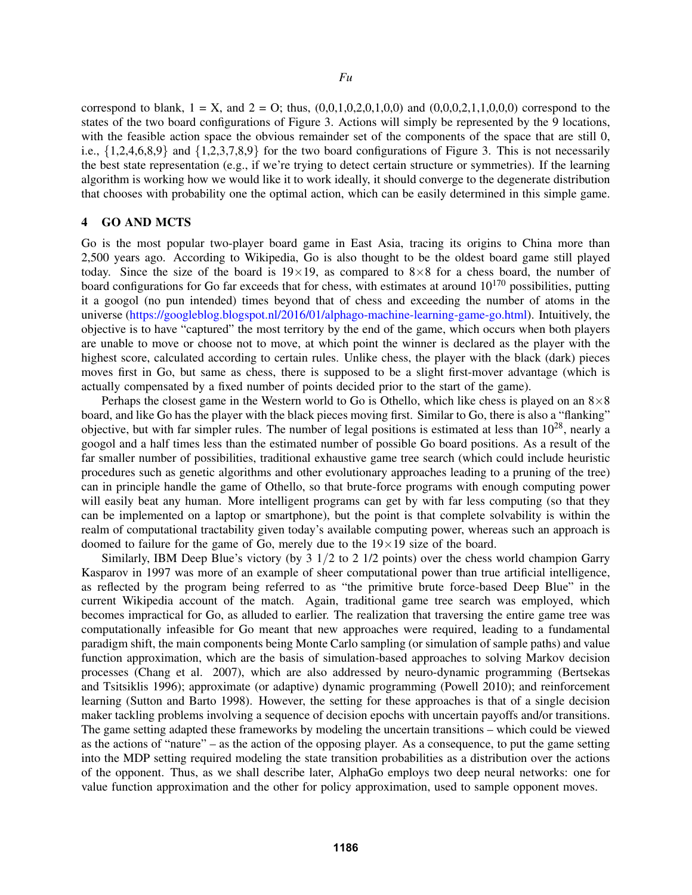correspond to blank,  $1 = X$ , and  $2 = O$ ; thus,  $(0,0,1,0,2,0,1,0,0)$  and  $(0,0,0,2,1,1,0,0,0)$  correspond to the states of the two board configurations of Figure [3.](#page-5-0) Actions will simply be represented by the 9 locations, with the feasible action space the obvious remainder set of the components of the space that are still 0, i.e.,  $\{1,2,4,6,8,9\}$  and  $\{1,2,3,7,8,9\}$  for the two board configurations of Figure [3.](#page-5-0) This is not necessarily the best state representation (e.g., if we're trying to detect certain structure or symmetries). If the learning algorithm is working how we would like it to work ideally, it should converge to the degenerate distribution that chooses with probability one the optimal action, which can be easily determined in this simple game.

#### 4 GO AND MCTS

Go is the most popular two-player board game in East Asia, tracing its origins to China more than 2,500 years ago. According to Wikipedia, Go is also thought to be the oldest board game still played today. Since the size of the board is  $19\times19$ , as compared to  $8\times8$  for a chess board, the number of board configurations for Go far exceeds that for chess, with estimates at around 10<sup>170</sup> possibilities, putting it a googol (no pun intended) times beyond that of chess and exceeding the number of atoms in the universe [\(https://googleblog.blogspot.nl/2016/01/alphago-machine-learning-game-go.html\)](https://googleblog.blogspot.nl/2016/01/alphago-machine-learning-game-go.html). Intuitively, the objective is to have "captured" the most territory by the end of the game, which occurs when both players are unable to move or choose not to move, at which point the winner is declared as the player with the highest score, calculated according to certain rules. Unlike chess, the player with the black (dark) pieces moves first in Go, but same as chess, there is supposed to be a slight first-mover advantage (which is actually compensated by a fixed number of points decided prior to the start of the game).

Perhaps the closest game in the Western world to Go is Othello, which like chess is played on an  $8\times8$ board, and like Go has the player with the black pieces moving first. Similar to Go, there is also a "flanking" objective, but with far simpler rules. The number of legal positions is estimated at less than  $10^{28}$ , nearly a googol and a half times less than the estimated number of possible Go board positions. As a result of the far smaller number of possibilities, traditional exhaustive game tree search (which could include heuristic procedures such as genetic algorithms and other evolutionary approaches leading to a pruning of the tree) can in principle handle the game of Othello, so that brute-force programs with enough computing power will easily beat any human. More intelligent programs can get by with far less computing (so that they can be implemented on a laptop or smartphone), but the point is that complete solvability is within the realm of computational tractability given today's available computing power, whereas such an approach is doomed to failure for the game of Go, merely due to the  $19\times19$  size of the board.

Similarly, IBM Deep Blue's victory (by 3 1/2 to 2 1/2 points) over the chess world champion Garry Kasparov in 1997 was more of an example of sheer computational power than true artificial intelligence, as reflected by the program being referred to as "the primitive brute force-based Deep Blue" in the current Wikipedia account of the match. Again, traditional game tree search was employed, which becomes impractical for Go, as alluded to earlier. The realization that traversing the entire game tree was computationally infeasible for Go meant that new approaches were required, leading to a fundamental paradigm shift, the main components being Monte Carlo sampling (or simulation of sample paths) and value function approximation, which are the basis of simulation-based approaches to solving Markov decision processes (Chang et al. 2007), which are also addressed by neuro-dynamic programming [\(Bertsekas](#page-13-6) [and Tsitsiklis 1996\)](#page-13-6); approximate (or adaptive) dynamic programming (Powell 2010); and reinforcement learning [\(Sutton and Barto 1998\)](#page-14-9). However, the setting for these approaches is that of a single decision maker tackling problems involving a sequence of decision epochs with uncertain payoffs and/or transitions. The game setting adapted these frameworks by modeling the uncertain transitions – which could be viewed as the actions of "nature" – as the action of the opposing player. As a consequence, to put the game setting into the MDP setting required modeling the state transition probabilities as a distribution over the actions of the opponent. Thus, as we shall describe later, AlphaGo employs two deep neural networks: one for value function approximation and the other for policy approximation, used to sample opponent moves.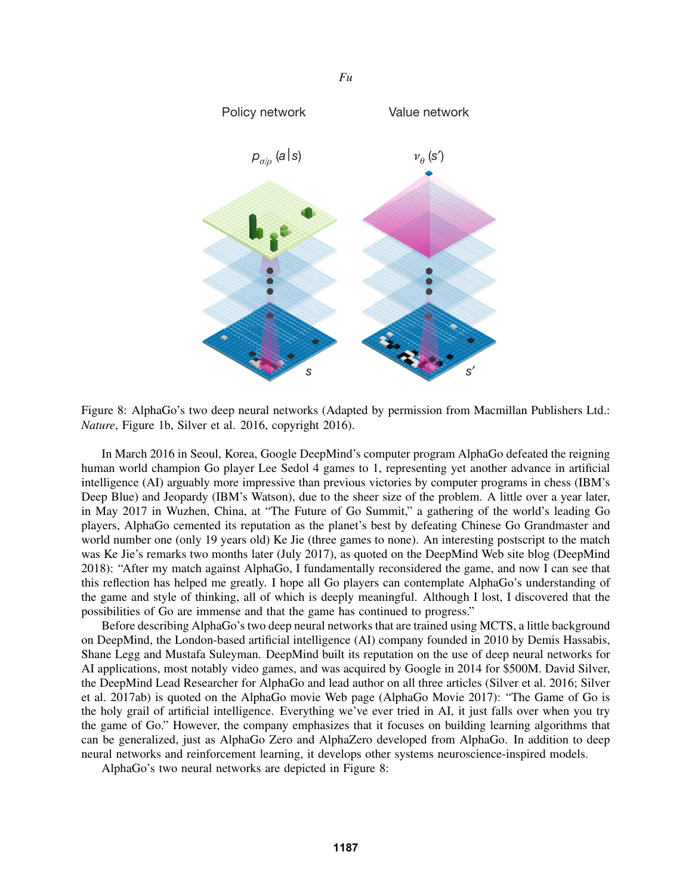

*Fu*

<span id="page-9-0"></span>Figure 8: AlphaGo's two deep neural networks (Adapted by permission from Macmillan Publishers Ltd.: *Nature*, Figure 1b, Silver et al. 2016, copyright 2016).

this reflection has helped me greatly. I hope all Go players can contemplate AlphaGo's understanding of the game and style of thinking, all of which is deeply meaningful. Although 1 lost, 1 discov<br>possibilities of Go are immense and that the game has continued to progress." In March 2016 in Seoul, Korea, Google DeepMind's computer program AlphaGo defeated the reigning In March 2010 in Seoul, Rorea, Google Deepwind's computer program Alpha Collected the reigning<br>human world champion Go player Lee Sedol 4 games to 1, representing yet another advance in artificial *network* or *σλαπήρισε so payer Lee secon* Figures to 1, representing yet another advance in antipolar intelligence (AI) arguably more impressive than previous victories by computer programs in chess (IBM's Deep Blue) and Jeopardy (IBM's Watson), due to the sheer size of the problem. A little over a year later, in May 2017 in Wuzhen, China, at "The Future of Go Summit," a gathering of the world's leading Go players, AlphaGo cemented its reputation as the planet's best by defeating Chinese Go Grandmaster and<br>world number and (only 10 years old) Ke Jie (three cemes to none). An interesting posterint to the match world number one (only 19 years old) Ke Jie (unce gaines to none). An interesting posisempt to the material was Ke Jie's remarks two months later (July 2017), as quoted on the DeepMind Web site blog (DeepMind world number one (only 19 years old) Ke Jie (three games to none). An interesting postscript to the match 2018): "After my match against AlphaGo, I fundamentally reconsidered the game, and now I can see that the game and style of thinking, all of which is deeply meaningful. Although I lost, I discovered that the

Before describing AlphaGo's two deep neural networks that are trained using MCTS, a little background on DeepMind, the London-based artificial intelligence (AI) company founded in 2010 by Demis Hassabis, Shane Legg and Mustara Suleyman. Deep Mind bunt its reputation on the use of deep neural networks for<br>AI applications, most notably video games, and was acquired by Google in 2014 for \$500M. David Silver, the DeepMind Lead Researcher for AlphaGo and lead author on all three articles (Silver et al. 2016; Silver  $\frac{1}{2}$ et al. 2017ab) is quoted on the AlphaGo movie Web page (AlphaGo Movie 2017): "The Game of Go is the noty grant of artificial intelligence. Everything we ve ever tried in A1, it just fails over when you try<br>the game of Go." However, the company emphasizes that it focuses on building learning algorithms that can be generalized, just as AlphaGo Zero and AlphaZero developed from AlphaGo. In addition to deep neural networks and reinforcement learning, it develops other systems neuroscience-inspired models. Shane Legg and Mustafa Suleyman. DeepMind built its reputation on the use of deep neural networks for the holy grail of artificial intelligence. Everything we've ever tried in AI, it just falls over when you try

AlphaGo's two neural networks are depicted in Figure [8:](#page-9-0)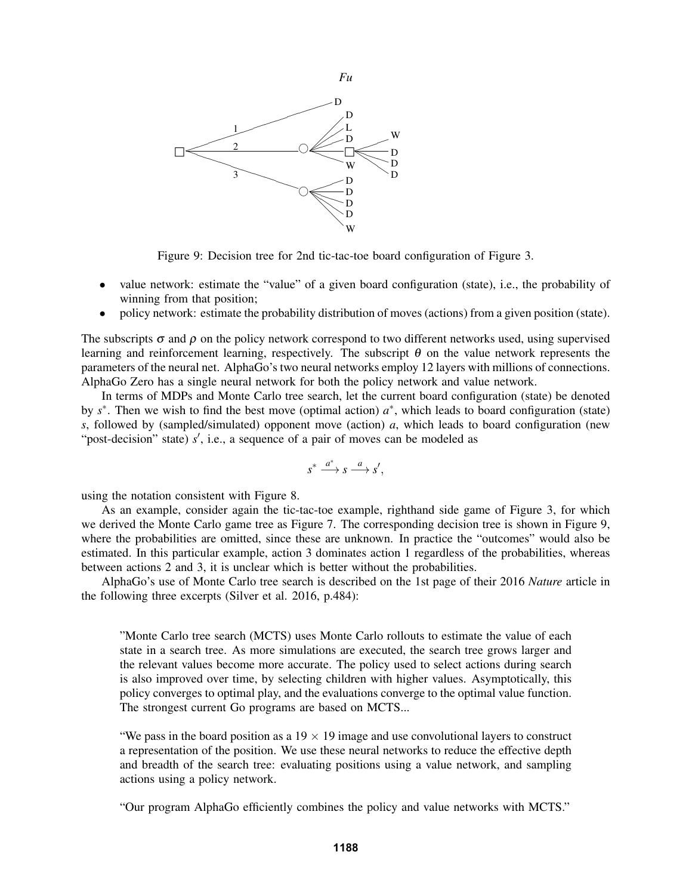

<span id="page-10-0"></span>Figure 9: Decision tree for 2nd tic-tac-toe board configuration of Figure [3.](#page-5-0)

- value network: estimate the "value" of a given board configuration (state), i.e., the probability of winning from that position;
- policy network: estimate the probability distribution of moves (actions) from a given position (state).

The subscripts  $\sigma$  and  $\rho$  on the policy network correspond to two different networks used, using supervised learning and reinforcement learning, respectively. The subscript  $\theta$  on the value network represents the parameters of the neural net. AlphaGo's two neural networks employ 12 layers with millions of connections. AlphaGo Zero has a single neural network for both the policy network and value network.

In terms of MDPs and Monte Carlo tree search, let the current board configuration (state) be denoted by  $s^*$ . Then we wish to find the best move (optimal action)  $a^*$ , which leads to board configuration (state) *s*, followed by (sampled/simulated) opponent move (action) *a*, which leads to board configuration (new "post-decision" state) s', i.e., a sequence of a pair of moves can be modeled as

$$
s^* \xrightarrow{a^*} s \xrightarrow{a} s',
$$

using the notation consistent with Figure [8.](#page-9-0)

As an example, consider again the tic-tac-toe example, righthand side game of Figure [3,](#page-5-0) for which we derived the Monte Carlo game tree as Figure [7.](#page-6-1) The corresponding decision tree is shown in Figure [9,](#page-10-0) where the probabilities are omitted, since these are unknown. In practice the "outcomes" would also be estimated. In this particular example, action 3 dominates action 1 regardless of the probabilities, whereas between actions 2 and 3, it is unclear which is better without the probabilities.

AlphaGo's use of Monte Carlo tree search is described on the 1st page of their 2016 *Nature* article in the following three excerpts [\(Silver et al. 2016,](#page-14-10) p.484):

"Monte Carlo tree search (MCTS) uses Monte Carlo rollouts to estimate the value of each state in a search tree. As more simulations are executed, the search tree grows larger and the relevant values become more accurate. The policy used to select actions during search is also improved over time, by selecting children with higher values. Asymptotically, this policy converges to optimal play, and the evaluations converge to the optimal value function. The strongest current Go programs are based on MCTS...

"We pass in the board position as a  $19 \times 19$  image and use convolutional layers to construct a representation of the position. We use these neural networks to reduce the effective depth and breadth of the search tree: evaluating positions using a value network, and sampling actions using a policy network.

"Our program AlphaGo efficiently combines the policy and value networks with MCTS."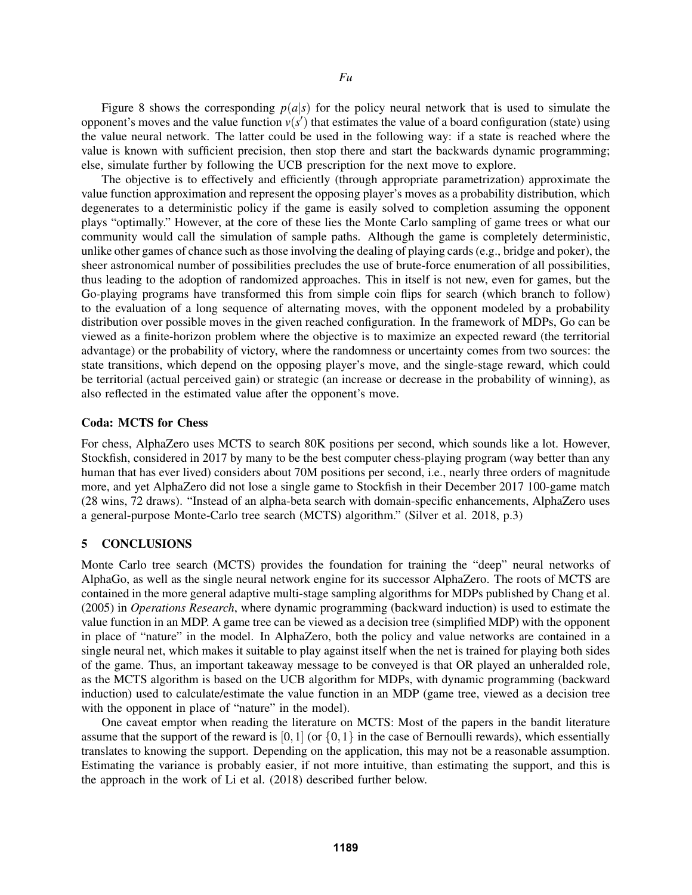Figure [8](#page-9-0) shows the corresponding  $p(a|s)$  for the policy neural network that is used to simulate the opponent's moves and the value function  $v(s')$  that estimates the value of a board configuration (state) using the value neural network. The latter could be used in the following way: if a state is reached where the value is known with sufficient precision, then stop there and start the backwards dynamic programming; else, simulate further by following the UCB prescription for the next move to explore.

The objective is to effectively and efficiently (through appropriate parametrization) approximate the value function approximation and represent the opposing player's moves as a probability distribution, which degenerates to a deterministic policy if the game is easily solved to completion assuming the opponent plays "optimally." However, at the core of these lies the Monte Carlo sampling of game trees or what our community would call the simulation of sample paths. Although the game is completely deterministic, unlike other games of chance such as those involving the dealing of playing cards (e.g., bridge and poker), the sheer astronomical number of possibilities precludes the use of brute-force enumeration of all possibilities, thus leading to the adoption of randomized approaches. This in itself is not new, even for games, but the Go-playing programs have transformed this from simple coin flips for search (which branch to follow) to the evaluation of a long sequence of alternating moves, with the opponent modeled by a probability distribution over possible moves in the given reached configuration. In the framework of MDPs, Go can be viewed as a finite-horizon problem where the objective is to maximize an expected reward (the territorial advantage) or the probability of victory, where the randomness or uncertainty comes from two sources: the state transitions, which depend on the opposing player's move, and the single-stage reward, which could be territorial (actual perceived gain) or strategic (an increase or decrease in the probability of winning), as also reflected in the estimated value after the opponent's move.

# Coda: MCTS for Chess

For chess, AlphaZero uses MCTS to search 80K positions per second, which sounds like a lot. However, Stockfish, considered in 2017 by many to be the best computer chess-playing program (way better than any human that has ever lived) considers about 70M positions per second, i.e., nearly three orders of magnitude more, and yet AlphaZero did not lose a single game to Stockfish in their December 2017 100-game match (28 wins, 72 draws). "Instead of an alpha-beta search with domain-specific enhancements, AlphaZero uses a general-purpose Monte-Carlo tree search (MCTS) algorithm." [\(Silver et al. 2018,](#page-14-11) p.3)

# 5 CONCLUSIONS

Monte Carlo tree search (MCTS) provides the foundation for training the "deep" neural networks of AlphaGo, as well as the single neural network engine for its successor AlphaZero. The roots of MCTS are contained in the more general adaptive multi-stage sampling algorithms for MDPs published by [Chang et al.](#page-13-3) [\(2005\)](#page-13-3) in *Operations Research*, where dynamic programming (backward induction) is used to estimate the value function in an MDP. A game tree can be viewed as a decision tree (simplified MDP) with the opponent in place of "nature" in the model. In AlphaZero, both the policy and value networks are contained in a single neural net, which makes it suitable to play against itself when the net is trained for playing both sides of the game. Thus, an important takeaway message to be conveyed is that OR played an unheralded role, as the MCTS algorithm is based on the UCB algorithm for MDPs, with dynamic programming (backward induction) used to calculate/estimate the value function in an MDP (game tree, viewed as a decision tree with the opponent in place of "nature" in the model).

One caveat emptor when reading the literature on MCTS: Most of the papers in the bandit literature assume that the support of the reward is  $[0,1]$  (or  $\{0,1\}$  in the case of Bernoulli rewards), which essentially translates to knowing the support. Depending on the application, this may not be a reasonable assumption. Estimating the variance is probably easier, if not more intuitive, than estimating the support, and this is the approach in the work of [Li et al. \(2018\)](#page-14-12) described further below.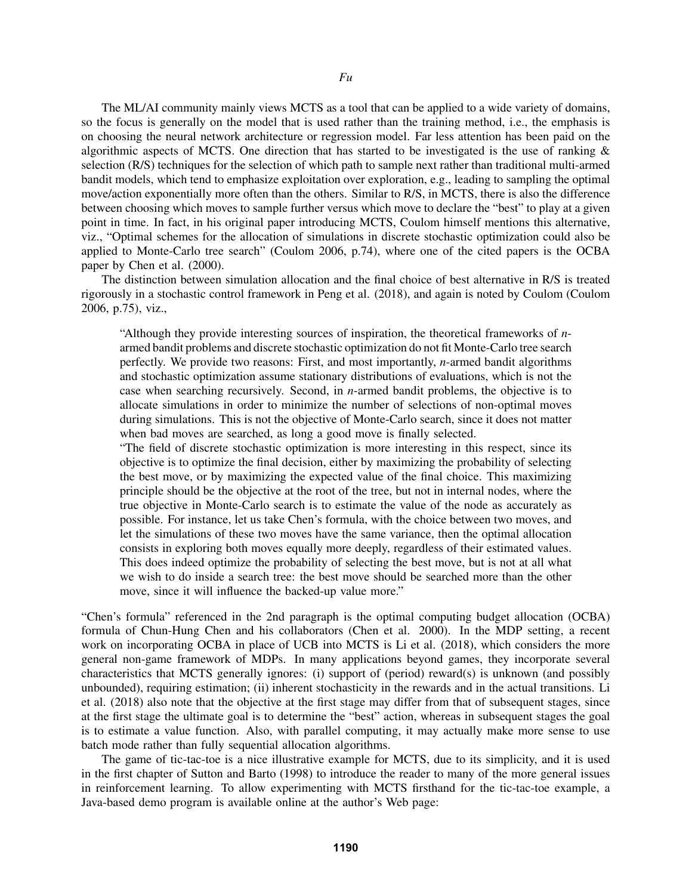The ML/AI community mainly views MCTS as a tool that can be applied to a wide variety of domains, so the focus is generally on the model that is used rather than the training method, i.e., the emphasis is on choosing the neural network architecture or regression model. Far less attention has been paid on the algorithmic aspects of MCTS. One direction that has started to be investigated is the use of ranking & selection (R/S) techniques for the selection of which path to sample next rather than traditional multi-armed bandit models, which tend to emphasize exploitation over exploration, e.g., leading to sampling the optimal move/action exponentially more often than the others. Similar to R/S, in MCTS, there is also the difference between choosing which moves to sample further versus which move to declare the "best" to play at a given point in time. In fact, in his original paper introducing MCTS, Coulom himself mentions this alternative, viz., "Optimal schemes for the allocation of simulations in discrete stochastic optimization could also be applied to Monte-Carlo tree search" [\(Coulom 2006,](#page-13-0) p.74), where one of the cited papers is the OCBA paper by [Chen et al. \(2000\).](#page-13-7)

The distinction between simulation allocation and the final choice of best alternative in R/S is treated rigorously in a stochastic control framework in [Peng et al. \(2018\),](#page-14-13) and again is noted by Coulom [\(Coulom](#page-13-0) [2006,](#page-13-0) p.75), viz.,

"Although they provide interesting sources of inspiration, the theoretical frameworks of *n*armed bandit problems and discrete stochastic optimization do not fit Monte-Carlo tree search perfectly. We provide two reasons: First, and most importantly, *n*-armed bandit algorithms and stochastic optimization assume stationary distributions of evaluations, which is not the case when searching recursively. Second, in *n*-armed bandit problems, the objective is to allocate simulations in order to minimize the number of selections of non-optimal moves during simulations. This is not the objective of Monte-Carlo search, since it does not matter when bad moves are searched, as long a good move is finally selected.

"The field of discrete stochastic optimization is more interesting in this respect, since its objective is to optimize the final decision, either by maximizing the probability of selecting the best move, or by maximizing the expected value of the final choice. This maximizing principle should be the objective at the root of the tree, but not in internal nodes, where the true objective in Monte-Carlo search is to estimate the value of the node as accurately as possible. For instance, let us take Chen's formula, with the choice between two moves, and let the simulations of these two moves have the same variance, then the optimal allocation consists in exploring both moves equally more deeply, regardless of their estimated values. This does indeed optimize the probability of selecting the best move, but is not at all what we wish to do inside a search tree: the best move should be searched more than the other move, since it will influence the backed-up value more."

"Chen's formula" referenced in the 2nd paragraph is the optimal computing budget allocation (OCBA) formula of Chun-Hung Chen and his collaborators [\(Chen et al. 2000\)](#page-13-7). In the MDP setting, a recent work on incorporating OCBA in place of UCB into MCTS is [Li et al. \(2018\),](#page-14-12) which considers the more general non-game framework of MDPs. In many applications beyond games, they incorporate several characteristics that MCTS generally ignores: (i) support of (period) reward(s) is unknown (and possibly unbounded), requiring estimation; (ii) inherent stochasticity in the rewards and in the actual transitions. [Li](#page-14-12) [et al. \(2018\)](#page-14-12) also note that the objective at the first stage may differ from that of subsequent stages, since at the first stage the ultimate goal is to determine the "best" action, whereas in subsequent stages the goal is to estimate a value function. Also, with parallel computing, it may actually make more sense to use batch mode rather than fully sequential allocation algorithms.

The game of tic-tac-toe is a nice illustrative example for MCTS, due to its simplicity, and it is used in the first chapter of [Sutton and Barto \(1998\)](#page-14-9) to introduce the reader to many of the more general issues in reinforcement learning. To allow experimenting with MCTS firsthand for the tic-tac-toe example, a Java-based demo program is available online at the author's Web page: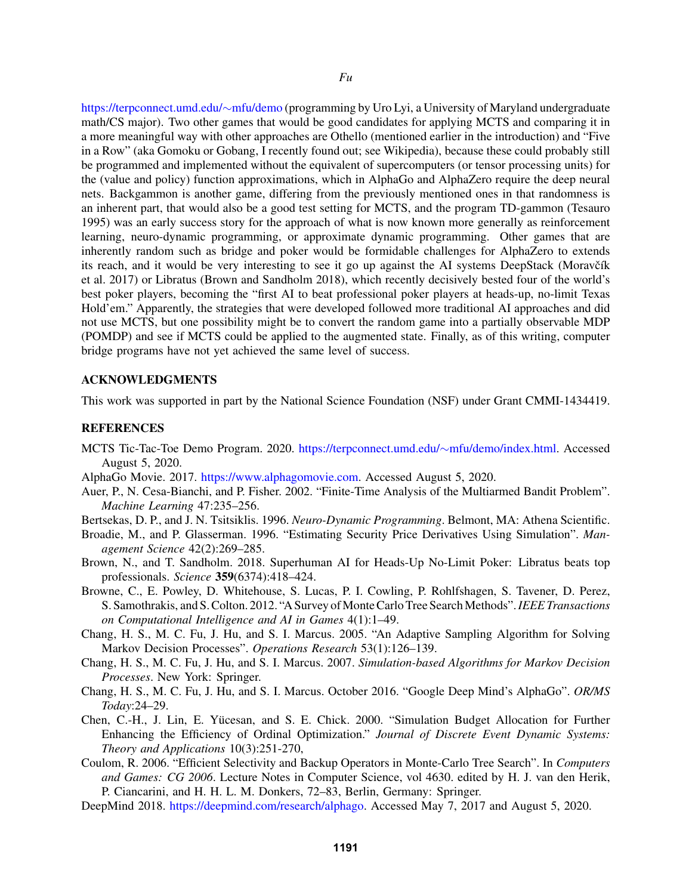[https://terpconnect.umd.edu/](https://terpconnect.umd.edu/~mfu/demo)∼mfu/demo (programming by Uro Lyi, a University of Maryland undergraduate math/CS major). Two other games that would be good candidates for applying MCTS and comparing it in a more meaningful way with other approaches are Othello (mentioned earlier in the introduction) and "Five in a Row" (aka Gomoku or Gobang, I recently found out; see Wikipedia), because these could probably still be programmed and implemented without the equivalent of supercomputers (or tensor processing units) for the (value and policy) function approximations, which in AlphaGo and AlphaZero require the deep neural nets. Backgammon is another game, differing from the previously mentioned ones in that randomness is an inherent part, that would also be a good test setting for MCTS, and the program TD-gammon [\(Tesauro](#page-14-14) [1995\)](#page-14-14) was an early success story for the approach of what is now known more generally as reinforcement learning, neuro-dynamic programming, or approximate dynamic programming. Other games that are inherently random such as bridge and poker would be formidable challenges for AlphaZero to extends its reach, and it would be very interesting to see it go up against the AI systems DeepStack (Moravčík [et al. 2017\)](#page-14-15) or Libratus [\(Brown and Sandholm 2018\)](#page-13-8), which recently decisively bested four of the world's best poker players, becoming the "first AI to beat professional poker players at heads-up, no-limit Texas Hold'em." Apparently, the strategies that were developed followed more traditional AI approaches and did not use MCTS, but one possibility might be to convert the random game into a partially observable MDP (POMDP) and see if MCTS could be applied to the augmented state. Finally, as of this writing, computer bridge programs have not yet achieved the same level of success.

# ACKNOWLEDGMENTS

This work was supported in part by the National Science Foundation (NSF) under Grant CMMI-1434419.

### **REFERENCES**

- MCTS Tic-Tac-Toe Demo Program. 2020. [https://terpconnect.umd.edu/](https://terpconnect.umd.edu/~mfu/demo/index.html)∼mfu/demo/index.html. Accessed August 5, 2020.
- <span id="page-13-1"></span>AlphaGo Movie. 2017. [https://www.alphagomovie.com.](https://www.alphagomovie.com) Accessed August 5, 2020.
- <span id="page-13-5"></span>Auer, P., N. Cesa-Bianchi, and P. Fisher. 2002. "Finite-Time Analysis of the Multiarmed Bandit Problem". *Machine Learning* 47:235–256.
- <span id="page-13-6"></span>Bertsekas, D. P., and J. N. Tsitsiklis. 1996. *Neuro-Dynamic Programming*. Belmont, MA: Athena Scientific.
- Broadie, M., and P. Glasserman. 1996. "Estimating Security Price Derivatives Using Simulation". *Management Science* 42(2):269–285.
- <span id="page-13-8"></span>Brown, N., and T. Sandholm. 2018. Superhuman AI for Heads-Up No-Limit Poker: Libratus beats top professionals. *Science* 359(6374):418–424.
- <span id="page-13-4"></span>Browne, C., E. Powley, D. Whitehouse, S. Lucas, P. I. Cowling, P. Rohlfshagen, S. Tavener, D. Perez, S. Samothrakis, and S. Colton. 2012. "A Survey of Monte Carlo Tree Search Methods". *IEEE Transactions on Computational Intelligence and AI in Games* 4(1):1–49.
- <span id="page-13-3"></span>Chang, H. S., M. C. Fu, J. Hu, and S. I. Marcus. 2005. "An Adaptive Sampling Algorithm for Solving Markov Decision Processes". *Operations Research* 53(1):126–139.
- <span id="page-13-2"></span>Chang, H. S., M. C. Fu, J. Hu, and S. I. Marcus. 2007. *Simulation-based Algorithms for Markov Decision Processes*. New York: Springer.
- Chang, H. S., M. C. Fu, J. Hu, and S. I. Marcus. October 2016. "Google Deep Mind's AlphaGo". *OR/MS Today*:24–29.
- <span id="page-13-7"></span>Chen, C.-H., J. Lin, E. Yucesan, and S. E. Chick. 2000. "Simulation Budget Allocation for Further ¨ Enhancing the Efficiency of Ordinal Optimization." *Journal of Discrete Event Dynamic Systems: Theory and Applications* 10(3):251-270,
- <span id="page-13-0"></span>Coulom, R. 2006. "Efficient Selectivity and Backup Operators in Monte-Carlo Tree Search". In *Computers and Games: CG 2006*. Lecture Notes in Computer Science, vol 4630. edited by H. J. van den Herik, P. Ciancarini, and H. H. L. M. Donkers, 72–83, Berlin, Germany: Springer.
- DeepMind 2018. [https://deepmind.com/research/alphago.](https://deepmind.com/research/alphago/) Accessed May 7, 2017 and August 5, 2020.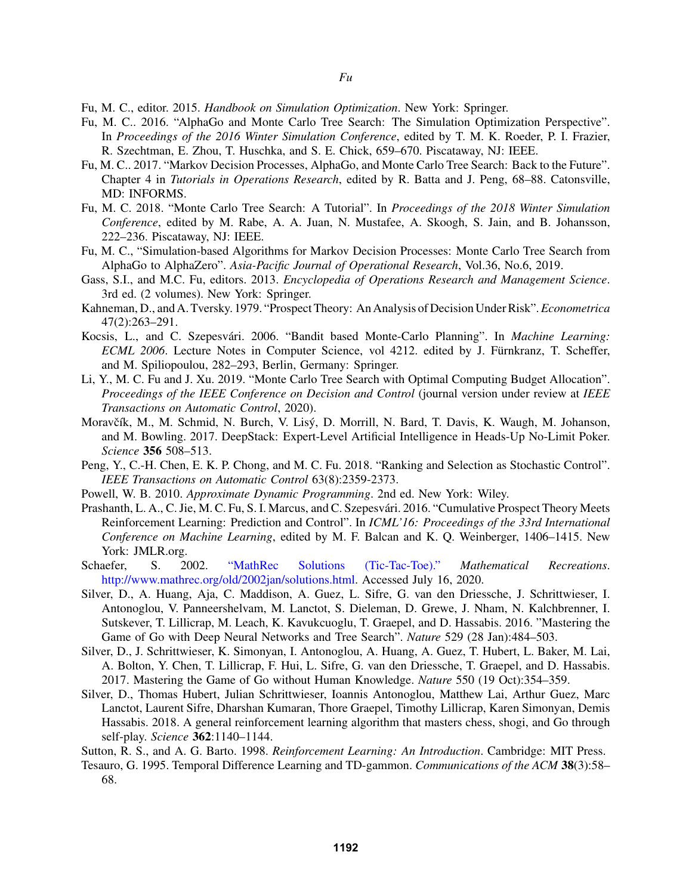- Fu, M. C., editor. 2015. *Handbook on Simulation Optimization*. New York: Springer.
- <span id="page-14-3"></span>Fu, M. C.. 2016. "AlphaGo and Monte Carlo Tree Search: The Simulation Optimization Perspective". In *Proceedings of the 2016 Winter Simulation Conference*, edited by T. M. K. Roeder, P. I. Frazier, R. Szechtman, E. Zhou, T. Huschka, and S. E. Chick, 659–670. Piscataway, NJ: IEEE.
- <span id="page-14-2"></span>Fu, M. C.. 2017. "Markov Decision Processes, AlphaGo, and Monte Carlo Tree Search: Back to the Future". Chapter 4 in *Tutorials in Operations Research*, edited by R. Batta and J. Peng, 68–88. Catonsville, MD: INFORMS.
- <span id="page-14-4"></span>Fu, M. C. 2018. "Monte Carlo Tree Search: A Tutorial". In *Proceedings of the 2018 Winter Simulation Conference*, edited by M. Rabe, A. A. Juan, N. Mustafee, A. Skoogh, S. Jain, and B. Johansson, 222–236. Piscataway, NJ: IEEE.
- <span id="page-14-1"></span>Fu, M. C., "Simulation-based Algorithms for Markov Decision Processes: Monte Carlo Tree Search from AlphaGo to AlphaZero". *Asia-Pacific Journal of Operational Research*, Vol.36, No.6, 2019.
- Gass, S.I., and M.C. Fu, editors. 2013. *Encyclopedia of Operations Research and Management Science*. 3rd ed. (2 volumes). New York: Springer.
- <span id="page-14-6"></span>Kahneman, D., and A. Tversky. 1979. "Prospect Theory: An Analysis of Decision Under Risk".*Econometrica* 47(2):263–291.
- <span id="page-14-5"></span>Kocsis, L., and C. Szepesvári. 2006. "Bandit based Monte-Carlo Planning". In *Machine Learning: ECML 2006*. Lecture Notes in Computer Science, vol 4212. edited by J. Fürnkranz, T. Scheffer, and M. Spiliopoulou, 282–293, Berlin, Germany: Springer.
- <span id="page-14-12"></span>Li, Y., M. C. Fu and J. Xu. 2019. "Monte Carlo Tree Search with Optimal Computing Budget Allocation". *Proceedings of the IEEE Conference on Decision and Control* (journal version under review at *IEEE Transactions on Automatic Control*, 2020).
- <span id="page-14-15"></span>Moravčík, M., M. Schmid, N. Burch, V. Lisý, D. Morrill, N. Bard, T. Davis, K. Waugh, M. Johanson, and M. Bowling. 2017. DeepStack: Expert-Level Artificial Intelligence in Heads-Up No-Limit Poker. *Science* 356 508–513.
- <span id="page-14-13"></span>Peng, Y., C.-H. Chen, E. K. P. Chong, and M. C. Fu. 2018. "Ranking and Selection as Stochastic Control". *IEEE Transactions on Automatic Control* 63(8):2359-2373.
- Powell, W. B. 2010. *Approximate Dynamic Programming*. 2nd ed. New York: Wiley.
- <span id="page-14-7"></span>Prashanth, L. A., C. Jie, M. C. Fu, S. I. Marcus, and C. Szepesvári. 2016. "Cumulative Prospect Theory Meets Reinforcement Learning: Prediction and Control". In *ICML'16: Proceedings of the 33rd International Conference on Machine Learning*, edited by M. F. Balcan and K. Q. Weinberger, 1406–1415. New York: JMLR.org.
- <span id="page-14-8"></span>Schaefer, S. 2002. ["MathRec Solutions \(Tic-Tac-Toe\)."](http://www.mathrec.org/old/2002jan/solutions.html) *Mathematical Recreations*. [http://www.mathrec.org/old/2002jan/solutions.html.](http://www.mathrec.org/old/2002jan/solutions.html) Accessed July 16, 2020.
- <span id="page-14-10"></span>Silver, D., A. Huang, Aja, C. Maddison, A. Guez, L. Sifre, G. van den Driessche, J. Schrittwieser, I. Antonoglou, V. Panneershelvam, M. Lanctot, S. Dieleman, D. Grewe, J. Nham, N. Kalchbrenner, I. Sutskever, T. Lillicrap, M. Leach, K. Kavukcuoglu, T. Graepel, and D. Hassabis. 2016. "Mastering the Game of Go with Deep Neural Networks and Tree Search". *Nature* 529 (28 Jan):484–503.
- <span id="page-14-0"></span>Silver, D., J. Schrittwieser, K. Simonyan, I. Antonoglou, A. Huang, A. Guez, T. Hubert, L. Baker, M. Lai, A. Bolton, Y. Chen, T. Lillicrap, F. Hui, L. Sifre, G. van den Driessche, T. Graepel, and D. Hassabis. 2017. Mastering the Game of Go without Human Knowledge. *Nature* 550 (19 Oct):354–359.
- <span id="page-14-11"></span>Silver, D., Thomas Hubert, Julian Schrittwieser, Ioannis Antonoglou, Matthew Lai, Arthur Guez, Marc Lanctot, Laurent Sifre, Dharshan Kumaran, Thore Graepel, Timothy Lillicrap, Karen Simonyan, Demis Hassabis. 2018. A general reinforcement learning algorithm that masters chess, shogi, and Go through self-play. *Science* 362:1140–1144.
- <span id="page-14-9"></span>Sutton, R. S., and A. G. Barto. 1998. *Reinforcement Learning: An Introduction*. Cambridge: MIT Press.
- <span id="page-14-14"></span>Tesauro, G. 1995. Temporal Difference Learning and TD-gammon. *Communications of the ACM* 38(3):58– 68.